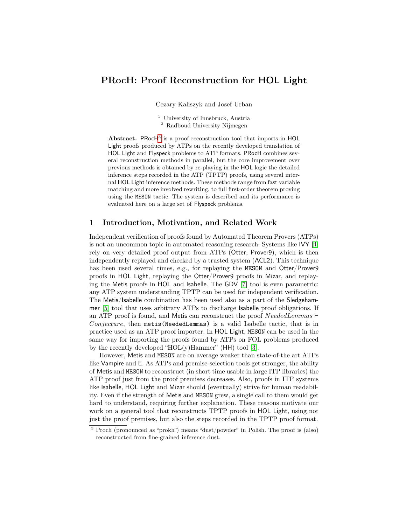# PRocH: Proof Reconstruction for HOL Light

Cezary Kaliszyk and Josef Urban

<sup>1</sup> University of Innsbruck, Austria <sup>2</sup> Radboud University Nijmegen

Abstract. PRocH<sup>[3](#page-0-0)</sup> is a proof reconstruction tool that imports in HOL Light proofs produced by ATPs on the recently developed translation of HOL Light and Flyspeck problems to ATP formats. PRocH combines several reconstruction methods in parallel, but the core improvement over previous methods is obtained by re-playing in the HOL logic the detailed inference steps recorded in the ATP (TPTP) proofs, using several internal HOL Light inference methods. These methods range from fast variable matching and more involved rewriting, to full first-order theorem proving using the MESON tactic. The system is described and its performance is evaluated here on a large set of Flyspeck problems.

### 1 Introduction, Motivation, and Related Work

Independent verification of proofs found by Automated Theorem Provers (ATPs) is not an uncommon topic in automated reasoning research. Systems like IVY [\[4\]](#page-6-0) rely on very detailed proof output from ATPs (Otter, Prover9), which is then independently replayed and checked by a trusted system (ACL2). This technique has been used several times, e.g., for replaying the MESON and Otter/Prover9 proofs in HOL Light, replaying the Otter/Prover9 proofs in Mizar, and replaying the Metis proofs in HOL and Isabelle. The GDV [\[7\]](#page-6-1) tool is even parametric: any ATP system understanding TPTP can be used for independent verification. The Metis/Isabelle combination has been used also as a part of the Sledgehammer [\[5\]](#page-6-2) tool that uses arbitrary ATPs to discharge Isabelle proof obligations. If an ATP proof is found, and Metis can reconstruct the proof  $NeededLemmas \vdash$ Conjecture, then metis(NeededLemmas) is a valid Isabelle tactic, that is in practice used as an ATP proof importer. In HOL Light, MESON can be used in the same way for importing the proofs found by ATPs on FOL problems produced by the recently developed " $HOL(y)$ Hammer" ( $HH$ ) tool [\[3\]](#page-6-3).

However, Metis and MESON are on average weaker than state-of-the art ATPs like Vampire and E. As ATPs and premise-selection tools get stronger, the ability of Metis and MESON to reconstruct (in short time usable in large ITP libraries) the ATP proof just from the proof premises decreases. Also, proofs in ITP systems like Isabelle, HOL Light and Mizar should (eventually) strive for human readability. Even if the strength of Metis and MESON grew, a single call to them would get hard to understand, requiring further explanation. These reasons motivate our work on a general tool that reconstructs TPTP proofs in HOL Light, using not just the proof premises, but also the steps recorded in the TPTP proof format.

<span id="page-0-0"></span><sup>3</sup> Proch (pronounced as "prokh") means "dust/powder" in Polish. The proof is (also) reconstructed from fine-grained inference dust.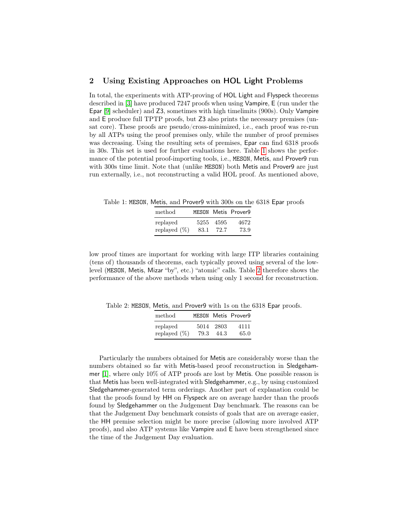## 2 Using Existing Approaches on HOL Light Problems

In total, the experiments with ATP-proving of HOL Light and Flyspeck theorems described in [\[3\]](#page-6-3) have produced 7247 proofs when using Vampire, E (run under the Epar [\[9\]](#page-6-4) scheduler) and Z3, sometimes with high timelimits (900s). Only Vampire and E produce full TPTP proofs, but Z3 also prints the necessary premises (unsat core). These proofs are pseudo/cross-minimized, i.e., each proof was re-run by all ATPs using the proof premises only, while the number of proof premises was decreasing. Using the resulting sets of premises, Epar can find 6318 proofs in 30s. This set is used for further evaluations here. Table [1](#page-1-0) shows the performance of the potential proof-importing tools, i.e., MESON, Metis, and Prover9 run with 300s time limit. Note that (unlike MESON) both Metis and Prover9 are just run externally, i.e., not reconstructing a valid HOL proof. As mentioned above,

<span id="page-1-0"></span>Table 1: MESON, Metis, and Prover9 with 300s on the 6318 Epar proofs

| method          |      |           | MESON Metis Prover9 |
|-----------------|------|-----------|---------------------|
| replayed        |      | 5255 4595 | 4672                |
| replayed $(\%)$ | 83.1 | -72.7     | 73.9                |

low proof times are important for working with large ITP libraries containing (tens of) thousands of theorems, each typically proved using several of the lowlevel (MESON, Metis, Mizar "by", etc.) "atomic" calls. Table [2](#page-1-1) therefore shows the performance of the above methods when using only 1 second for reconstruction.

<span id="page-1-1"></span>Table 2: MESON, Metis, and Prover9 with 1s on the 6318 Epar proofs.

| method          |      |           | MESON Metis Prover9 |
|-----------------|------|-----------|---------------------|
| replayed        |      | 5014 2803 | 4111                |
| replayed $(\%)$ | 79.3 | 44.3      | 65.0                |

Particularly the numbers obtained for Metis are considerably worse than the numbers obtained so far with Metis-based proof reconstruction in Sledgeham-mer [\[1\]](#page-6-5), where only  $10\%$  of ATP proofs are lost by Metis. One possible reason is that Metis has been well-integrated with Sledgehammer, e.g., by using customized Sledgehammer-generated term orderings. Another part of explanation could be that the proofs found by HH on Flyspeck are on average harder than the proofs found by Sledgehammer on the Judgement Day benchmark. The reasons can be that the Judgement Day benchmark consists of goals that are on average easier, the HH premise selection might be more precise (allowing more involved ATP proofs), and also ATP systems like Vampire and E have been strengthened since the time of the Judgement Day evaluation.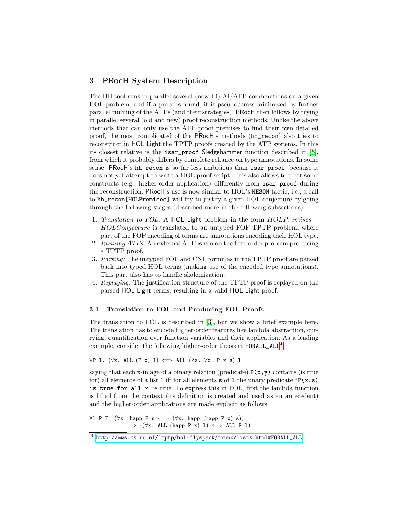### 3 PRocH System Description

The HH tool runs in parallel several (now 14)  $AI/ATP$  combinations on a given HOL problem, and if a proof is found, it is pseudo/cross-minimized by further parallel running of the ATPs (and their strategies). PRocH then follows by trying in parallel several (old and new) proof reconstruction methods. Unlike the above methods that can only use the ATP proof premises to find their own detailed proof, the most complicated of the PRocH's methods (hh\_recon) also tries to reconstruct in HOL Light the TPTP proofs created by the ATP systems. In this its closest relative is the isar\_proof Sledgehammer function described in [\[5\]](#page-6-2), from which it probably differs by complete reliance on type annotations. In some sense, PRocH's hh\_recon is so far less ambitious than isar\_proof, because it does not yet attempt to write a HOL proof script. This also allows to treat some constructs (e.g., higher-order application) differently from isar\_proof during the reconstruction. PRocH's use is now similar to HOL's MESON tactic, i.e., a call to hh\_recon[HOLPremises] will try to justify a given HOL conjecture by going through the following stages (described more in the following subsections):

- 1. Translation to FOL: A HOL Light problem in the form  $HOLP$  remises  $\vdash$ HOLConjecture is translated to an untyped FOF TPTP problem, where part of the FOF encoding of terms are annotations encoding their HOL type.
- 2. Running ATPs: An external ATP is run on the first-order problem producing a TPTP proof.
- 3. Parsing: The untyped FOF and CNF formulas in the TPTP proof are parsed back into typed HOL terms (making use of the encoded type annotations). This part also has to handle skolemization.
- 4. Replaying: The justification structure of the TPTP proof is replayed on the parsed HOL Light terms, resulting in a valid HOL Light proof.

#### 3.1 Translation to FOL and Producing FOL Proofs

The translation to FOL is described in [\[3\]](#page-6-3), but we show a brief example here. The translation has to encode higher-order features like lambda abstraction, currying, quantification over function variables and their application. As a leading example, consider the following higher-order theorem FORALL\_ALL[4](#page-2-0)

 $\forall P$  l. ( $\forall x$ . ALL ( $P$  x) 1)  $\iff$  ALL ( $\lambda$ s.  $\forall x$ .  $P$  x s) 1

saying that each x-image of a binary relation (predicate)  $P(x, y)$  contains (is true for) all elements of a list 1 iff for all elements s of 1 the unary predicate " $P(x, s)$ is true for all x" is true. To express this in FOL, first the lambda function is lifted from the context (its definition is created and used as an antecedent) and the higher-order applications are made explicit as follows:

 $\forall 1 \, P \, F. \ (\forall s. \ \text{happ } F \, s \iff (\forall x. \ \text{happ } (\text{happ } P \, x) \, s))$  $\implies$  ( $(\forall x.$  ALL (happ P x) 1)  $\iff$  ALL F 1)

<span id="page-2-0"></span><sup>4</sup> [http://mws.cs.ru.nl/~mptp/hol-flyspeck/trunk/lists.html#FORALL\\_ALL](http://mws.cs.ru.nl/~mptp/hol-flyspeck/trunk/lists.html#FORALL_ALL)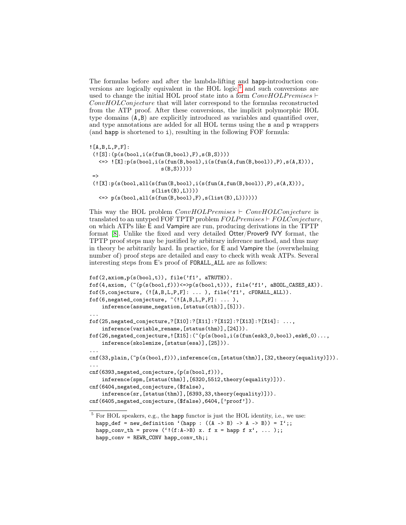The formulas before and after the lambda-lifting and happ-introduction con-versions are logically equivalent in the HOL logic,<sup>[5](#page-3-0)</sup> and such conversions are used to change the initial HOL proof state into a form  $ConvHOLP$  remises  $\vdash$ ConvHOLConjecture that will later correspond to the formulas reconstructed from the ATP proof. After these conversions, the implicit polymorphic HOL type domains (A,B) are explicitly introduced as variables and quantified over, and type annotations are added for all HOL terms using the s and p wrappers (and happ is shortened to i), resulting in the following FOF formula:

```
![A,B,L,P,F]:
 (![S]:(p(s(bool,i(s(fun(B,bool),F),s(B,S))))\leq \leq \lfloor \lfloor \lfloor \rfloor \rfloor \lfloor \leq \rfloor \leq \lfloor \leq \lfloor \lfloor \lfloor \lfloor \lfloor \lfloor \lfloor \lfloor \lfloor \lfloor \lfloor \lfloor \lfloor \lfloor \lfloor \lfloor \lfloor \lfloor \lfloor \lfloor \lfloor \lfloor \lfloor \lfloors(B,S))))\Rightarrow(![X]:p(s(bool,all(s(fun(B,bool),i(s(fun(A,fun(B,bool)),P),s(A,X))),s(list(B),L))))\leq p(s(bool,all(s(fun(B,bool),F),s(list(B),L))))
```
This way the HOL problem  $ConvHOL Premises \vdash ConvHOLConjecture$  is translated to an untyped FOF TPTP problem  $FOLPremises \vdash FOLConjecture$ , on which ATPs like E and Vampire are run, producing derivations in the TPTP format [\[8\]](#page-6-6). Unlike the fixed and very detailed Otter/Prover9 IVY format, the TPTP proof steps may be justified by arbitrary inference method, and thus may in theory be arbitrarily hard. In practice, for E and Vampire the (overwhelming number of) proof steps are detailed and easy to check with weak ATPs. Several interesting steps from E's proof of FORALL\_ALL are as follows:

```
f \circ f(2, \text{axiom}, p(s(\text{bool}, t)), file('f1', aTRUTH)).f \circ f(4, \text{axiom}, (\text{``}(p(s(\text{bool}, f)))\text{>=}\text{''}(s(\text{bool}, t))), \text{ file('f1', aB0OL_CASES_AX)}).f \circ f(5, \text{conjecture}, \ (!\ [A, B, L, P, F]: \dots ), \text{file('f1', cFORALL_ALL)}).f \circ f(6, \text{negated\_conjecture}, \tilde{ } (!A, B, L, P, F]: \ldots),inference(assume_negation,[status(cth)],[5])).
...
fof(25,negated_conjecture,?[X10]:?[X11]:?[X12]:?[X13]:?[X14]: ...,
    inference(variable_rename,[status(thm)],[24])).
f \circ f(26,negated_conjecture,![X15]:(~(p(s(bool,i(s(fun(esk3_0,bool),esk6_0)...,
    inference(skolemize,[status(esa)],[25])).
...
cnf(33,plain,(~p(s(bool,f))),inference(cn,[status(thm)],[32,theory(equality)])).
...
cnf(6393,negated_conjecture,(p(s(bool,f))),
    inference(spm,[status(thm)],[6320,5512,theory(equality)])).
cnf(6404,negated_conjecture,($false),
    inference(sr,[status(thm)],[6393,33,theory(equality)])).
cnf(6405,negated_conjecture,($false),6404,['proof']).
```

```
5 For HOL speakers, e.g., the happ functor is just the HOL identity, i.e., we use:
  happ_def = new_definition '(happ : ((A \rightarrow B) \rightarrow A \rightarrow B)) = I';;happ_conv_th = prove ( '(f:A->B) x. f x = happ f x', ... );
 happ_conv = REWR_CONV happ_conv_th;;
```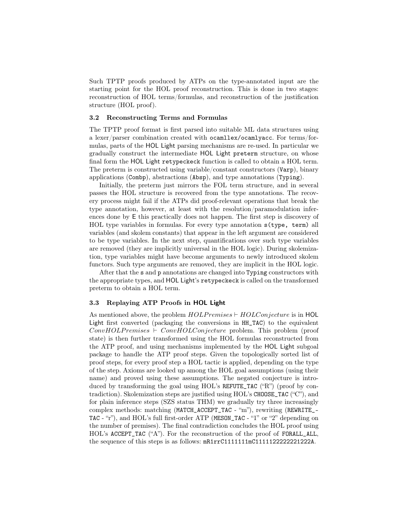Such TPTP proofs produced by ATPs on the type-annotated input are the starting point for the HOL proof reconstruction. This is done in two stages: reconstruction of HOL terms/formulas, and reconstruction of the justification structure (HOL proof).

#### 3.2 Reconstructing Terms and Formulas

The TPTP proof format is first parsed into suitable ML data structures using a lexer/parser combination created with ocamllex/ocamlyacc. For terms/formulas, parts of the HOL Light parsing mechanisms are re-used. In particular we gradually construct the intermediate HOL Light preterm structure, on whose final form the HOL Light retypeckeck function is called to obtain a HOL term. The preterm is constructed using variable/constant constructors (Varp), binary applications (Combp), abstractions (Absp), and type annotations (Typing).

Initially, the preterm just mirrors the FOL term structure, and in several passes the HOL structure is recovered from the type annotations. The recovery process might fail if the ATPs did proof-relevant operations that break the type annotation, however, at least with the resolution/paramodulation inferences done by E this practically does not happen. The first step is discovery of HOL type variables in formulas. For every type annotation s(type, term) all variables (and skolem constants) that appear in the left argument are considered to be type variables. In the next step, quantifications over such type variables are removed (they are implicitly universal in the HOL logic). During skolemization, type variables might have become arguments to newly introduced skolem functors. Such type arguments are removed, they are implicit in the HOL logic.

After that the s and p annotations are changed into Typing constructors with the appropriate types, and HOL Light's retypeckeck is called on the transformed preterm to obtain a HOL term.

### 3.3 Replaying ATP Proofs in HOL Light

As mentioned above, the problem  $HOLP$  remises  $\vdash HOLConjecture$  is in HOL Light first converted (packaging the conversions in HH\_TAC) to the equivalent  $ConvHOLPremises \vdash ConvHOLConjecture$  problem. This problem (proof state) is then further transformed using the HOL formulas reconstructed from the ATP proof, and using mechanisms implemented by the HOL Light subgoal package to handle the ATP proof steps. Given the topologically sorted list of proof steps, for every proof step a HOL tactic is applied, depending on the type of the step. Axioms are looked up among the HOL goal assumptions (using their name) and proved using these assumptions. The negated conjecture is introduced by transforming the goal using HOL's REFUTE\_TAC ("R") (proof by contradiction). Skolemization steps are justified using HOL's CHOOSE\_TAC ("C"), and for plain inference steps (SZS status THM) we gradually try three increasingly complex methods: matching (MATCH\_ACCEPT\_TAC - "m"), rewriting (REWRITE\_- TAC - "r"), and HOL's full first-order ATP (MESON\_TAC - "1" or "2" depending on the number of premises). The final contradiction concludes the HOL proof using HOL's ACCEPT\_TAC ("A"). For the reconstruction of the proof of FORALL\_ALL, the sequence of this steps is as follows:  $mR1rrC1111111mC1111122222221222A$ .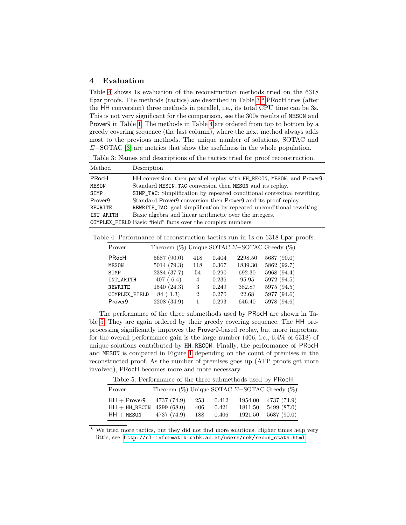## 4 Evaluation

Table [4](#page-5-0) shows 1s evaluation of the reconstruction methods tried on the 6318 Epar proofs. The methods (tactics) are described in Table [3.](#page-5-1)[6](#page-5-2) PRocH tries (after the HH conversion) three methods in parallel, i.e., its total CPU time can be 3s. This is not very significant for the comparison, see the 300s results of MESON and Prover9 in Table [1.](#page-1-0) The methods in Table [4](#page-5-0) are ordered from top to bottom by a greedy covering sequence (the last column), where the next method always adds most to the previous methods. The unique number of solutions, SOTAC and Σ−SOTAC [\[3\]](#page-6-3) are metrics that show the usefulness in the whole population.

<span id="page-5-1"></span>Table 3: Names and descriptions of the tactics tried for proof reconstruction.

| Method    | Description                                                            |
|-----------|------------------------------------------------------------------------|
| PRocH     | HH conversion, then parallel replay with HH_RECON, MESON, and Prover9. |
| MESON     | Standard MESON_TAC conversion then MESON and its replay.               |
| SIMP      | SIMP_TAC: Simplification by repeated conditional contextual rewriting. |
| Prover9   | Standard Prover9 conversion then Prover9 and its proof replay.         |
| REWRITE   | REWRITE_TAC: goal simplification by repeated unconditional rewriting.  |
| INT ARITH | Basic algebra and linear arithmetic over the integers.                 |
|           | <b>COMPLEX_FIELD</b> Basic "field" facts over the complex numbers.     |

<span id="page-5-0"></span>

| Table 4: Performance of reconstruction tactics run in 1s on 6318 Epar proofs. |  |  |  |  |  |
|-------------------------------------------------------------------------------|--|--|--|--|--|
|-------------------------------------------------------------------------------|--|--|--|--|--|

| Prover               | Theorem (%) Unique SOTAC $\Sigma$ -SOTAC Greedy (%) |                |       |         |             |
|----------------------|-----------------------------------------------------|----------------|-------|---------|-------------|
| PRocH                | 5687 (90.0)                                         | 418            | 0.404 | 2298.50 | 5687 (90.0) |
| MESON                | 5014 (79.3)                                         | 118            | 0.367 | 1839.30 | 5862 (92.7) |
| SIMP                 | 2384 (37.7)                                         | 54             | 0.290 | 692.30  | 5968 (94.4) |
| INT_ARITH            | 407(6.4)                                            | 4              | 0.236 | 95.95   | 5972 (94.5) |
| REWRITE              | 1540 (24.3)                                         | 3              | 0.249 | 382.87  | 5975 (94.5) |
| <b>COMPLEX FIELD</b> | 84 (1.3)                                            | $\overline{2}$ | 0.270 | 22.68   | 5977 (94.6) |
| Prover <sub>9</sub>  | 2208 (34.9)                                         | 1              | 0.293 | 646.40  | 5978 (94.6) |

The performance of the three submethods used by PRocH are shown in Table [5.](#page-5-3) They are again ordered by their greedy covering sequence. The HH preprocessing significantly improves the Prover9-based replay, but more important for the overall performance gain is the large number (406, i.e., 6.4% of 6318) of unique solutions contributed by HH\_RECON. Finally, the performance of PRocH and MESON is compared in Figure [1](#page-6-7) depending on the count of premises in the reconstructed proof. As the number of premises goes up (ATP proofs get more involved), PRocH becomes more and more necessary.

Table 5: Performance of the three submethods used by PRocH.

<span id="page-5-3"></span>

| Prover                                                                     | Theorem $(\%)$ Unique SOTAC $\Sigma$ -SOTAC Greedy $(\%)$ |                   |                         |                                                                     |
|----------------------------------------------------------------------------|-----------------------------------------------------------|-------------------|-------------------------|---------------------------------------------------------------------|
| $HH + Prover9$ 4737 (74.9)<br>$HH + HH\_RECON$ 4299 (68.0)<br>$HH + MESON$ | 4737 (74.9)                                               | 253<br>406<br>188 | 0.412<br>0.421<br>0.406 | 1954.00 4737 (74.9)<br>1811.50 5499 (87.0)<br>1921.50   5687 (90.0) |

<span id="page-5-2"></span> $6$  We tried more tactics, but they did not find more solutions. Higher times help very little, see: [http://cl-informatik.uibk.ac.at/users/cek/recon\\_stats.html](http://cl-informatik.uibk.ac.at/users/cek/recon_stats.html)